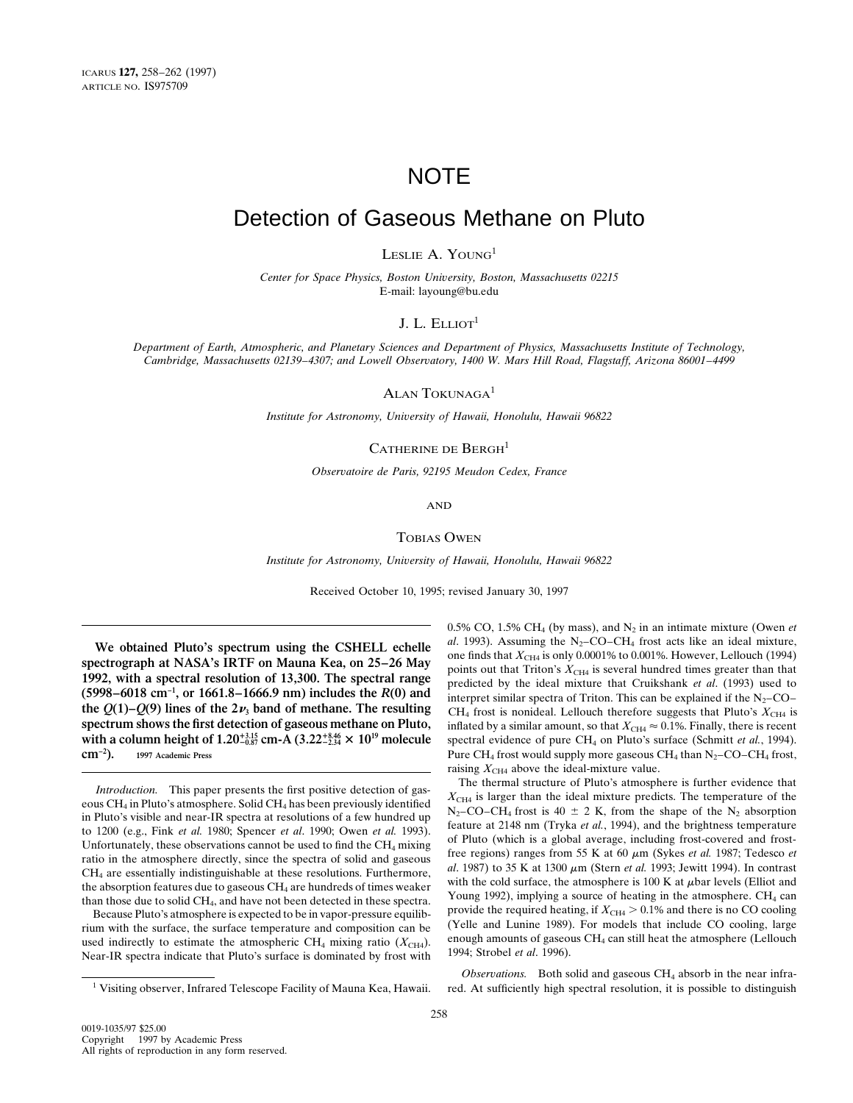# **NOTE**

## Detection of Gaseous Methane on Pluto

LESLIE A. YOUNG<sup>1</sup>

*Center for Space Physics, Boston University, Boston, Massachusetts 02215* E-mail: layoung@bu.edu

J. L.  $ELLIOT<sup>1</sup>$ 

*Department of Earth, Atmospheric, and Planetary Sciences and Department of Physics, Massachusetts Institute of Technology, Cambridge, Massachusetts 02139–4307; and Lowell Observatory, 1400 W. Mars Hill Road, Flagstaff, Arizona 86001–4499*

ALAN TOKUNAGA<sup>1</sup>

*Institute for Astronomy, University of Hawaii, Honolulu, Hawaii 96822*

CATHERINE DE BERGH<sup>1</sup>

*Observatoire de Paris, 92195 Meudon Cedex, France*

AND

### TOBIAS OWEN

*Institute for Astronomy, University of Hawaii, Honolulu, Hawaii 96822*

Received October 10, 1995; revised January 30, 1997

Near-IR spectra indicate that Pluto's surface is dominated by frost with

0.5% CO, 1.5% CH<sub>4</sub> (by mass), and  $N_2$  in an intimate mixture (Owen *et* We obtained Pluto's spectrum using the CSHELL echelle<br>spectrograph at NASA's IRTF on Mauna Kea, on 25–26 May<br>1992, with a spectral resolution of 13,300. The spectral range<br>1998–6018 cm<sup>-1</sup>, or 1661.8–1666.9 nm) includes t (5998–6018 cm  $\cdot$ , or 1661.8–1666.9 nm) includes the *K*(0) and interpret similar spectra of Triton. This can be explained if the N<sub>2</sub>–CO–<br>the *Q*(1)–*Q*(9) lines of the 2*v*<sub>3</sub> band of methane. The resulting CH<sub>4</sub> frost **spectrum shows the first detection of gaseous methane on Pluto,** inflated by a similar amount, so that  $X_{CH4} \approx 0.1\%$ . Finally, there is recent with a column height of 1.20<sup>+3,35</sup><sub>2</sub> cm-A (3.22<sup>+3,34</sup> × 10<sup>19</sup> molecule spectral evidence of pure CH<sub>4</sub> on Pluto's surface (Schmitt *et al.*, 1994). **cm<sup>-2</sup>).** © 1997 Academic Press **and Exercise 2 1997** Academic Press **Pure CH<sub>4</sub>** frost, **Pure CH<sub>4</sub>** frost, **Pure CH<sub>4</sub>** frost, **Pure CH<sub>4</sub>** frost, **Pure CH<sub>4</sub>** frost, **Pure CH<sub>4</sub>** frost, **2** raising  $X_{\text{CH4}}$  above the ideal-mixture value.

*Introduction.* This paper presents the first positive detection of gas-<br>
eous CH<sub>4</sub> in Pluto's atmosphere. Solid CH<sub>4</sub> has been previously identified<br>
in Pluto's visible and near-IR spectra at resolutions of a few hundre the absorption features due to gaseous CH<sub>4</sub> are hundreds of times weaker<br>than those due to solid CH<sub>4</sub>, and have not been detected in these spectra.<br>Because Pluto's atmosphere is expected to be in vapor-pressure equilib-

*Observations.* Both solid and gaseous CH4 absorb in the near infra-<sup>1</sup> Visiting observer, Infrared Telescope Facility of Mauna Kea, Hawaii. red. At sufficiently high spectral resolution, it is possible to distinguish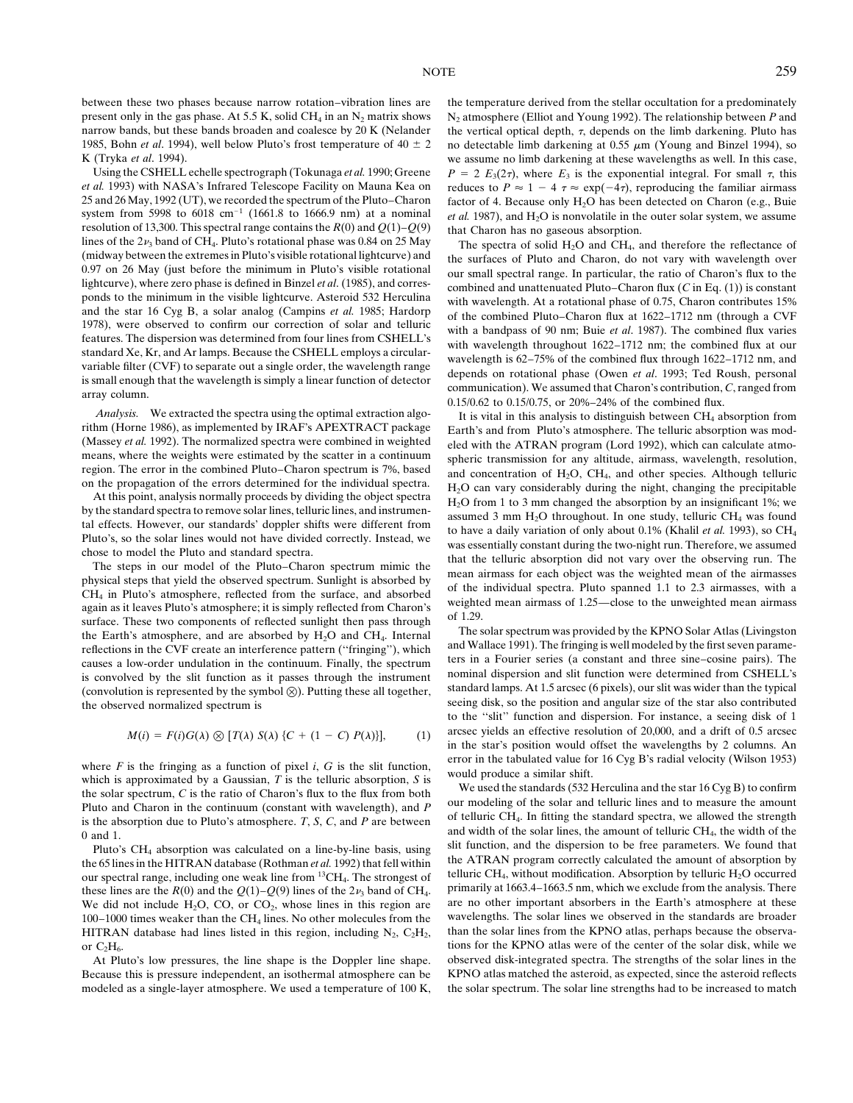between these two phases because narrow rotation–vibration lines are the temperature derived from the stellar occultation for a predominately

resolution of 13,300. This spectral range contains the  $R(0)$  and  $Q(1)-Q(9)$  that Charon has no gaseous absorption.<br>lines of the 2 $\nu_1$  band of CH<sub>4</sub>. Pluto's rotational phase was 0.84 on 25 May The spectra of solid H-O lines of the  $2\nu_3$  band of CH<sub>4</sub>. Pluto's rotational phase was 0.84 on 25 May The spectra of solid H<sub>2</sub>O and CH<sub>4</sub>, and therefore the reflectance of (midway between the extremes in Pluto's visible rotational lightcurve) (midway between the extremes in Pluto's visible rotational lightcurve) and<br>0.97 on 26 May (just before the minimum in Pluto's visible rotational<br>lightcurve), where zero phase is defined in Binzel *et al.* (1985), and corr

*Analysis.* We extracted the spectra using the optimal extraction algo-<br>
It is vital in this analysis to distinguish between CH<sub>4</sub> absorption from<br>
The telluric absorption was modern than<br>
It is vital in this analysis to d

the Earth's atmosphere, and are absorbed by H<sub>2</sub>O and CH<sub>4</sub>. Internal<br>reflections in the CVF create an interference pattern ("fringing"), which<br>reflections in the CVF create an interference pattern ("fringing"), which<br>caus

$$
M(i) = F(i)G(\lambda) \otimes [T(\lambda) S(\lambda) \{C + (1 - C) P(\lambda)\}], \tag{1}
$$

where F is the fringing as a function of pixel i, G is the slit function,<br>which is approximated by a Gaussian, T is the telluric absorption, S is<br>the solar spectrum, C is the ratio of Charon's flux to the flux from both<br>D Pluto and Charon in the continuum (constant with wavelength), and *P* our modeling of the solar and telluric lines and to measure the amount in the absorption due to Pluto's atmosphere. *T* S *C* and *P* are between of tel is the absorption due to Pluto's atmosphere.  $T$ ,  $S$ ,  $C$ , and  $P$  are between

these lines are the *R*(0) and the  $Q(1)$ – $Q(9)$  lines of the  $2\nu_3$  band of CH<sub>4</sub>. primarily at 1663.4–1663.5 nm, which we exclude from the analysis. There We did not include H.O. CO or CO, whose lines in this region ar We did not include H<sub>2</sub>O, CO, or CO<sub>2</sub>, whose lines in this region are are no other important absorbers in the Earth's atmosphere at these 200–1000 times weaker than the CH<sub>4</sub> lines. No other molecules from the wavelength 100–1000 times weaker than the CH<sub>4</sub> lines. No other molecules from the wavelengths. The solar lines we observed in the standards are broader  $\text{HITRAN}$  database had lines listed in this region, including N<sub>2</sub>, C<sub>2</sub>H<sub>2</sub>, HITRAN database had lines listed in this region, including  $N_2$ ,  $C_2H_2$ , or C<sub>2</sub>H<sub>6</sub>. The KPNO atlas were of the center of the solar disk, while we 2H<sub>6</sub>.

modeled as a single-layer atmosphere. We used a temperature of 100 K, the solar spectrum. The solar line strengths had to be increased to match

present only in the gas phase. At 5.5 K, solid CH<sub>4</sub> in an N<sub>2</sub> matrix shows N<sub>2</sub> atmosphere (Elliot and Young 1992). The relationship between *P* and narrow bands, but these bands broaden and coalesce by 20 K (Nelander the vertical optical depth,  $\tau$ , depends on the limb darkening. Pluto has 1985, Bohn *et al.* 1994), well below Pluto's frost temperature of 40  $\pm$  2 no detectable limb darkening at 0.55  $\mu$ m (Young and Binzel 1994), so K (Tryka *et al.* 1994). we assume no limb darkening at these wavelengths as well. In this case, Using the CSHELL echelle spectrograph (Tokunaga *et al.* 1990; Greene  $P = 2 E_3(2\tau)$ , where  $E_3$  is the exponential integral. For small  $\tau$ , this *et al.* 1993) with NASA's Infrared Telescope Facility on Mauna Kea on re *et al.* 1993) with NASA's Infrared Telescope Facility on Mauna Kea on reduces to  $P \approx 1 - 4 \tau \approx \exp(-4\tau)$ , reproducing the familiar airmass 25 and 26 May, 1992 (UT), we recorded the spectrum of the Pluto–Charon factor of 4. factor of 4. Because only  $H_2O$  has been detected on Charon (e.g., Buie system from 5998 to 6018 cm<sup>-1</sup> (1661.8 to 1666.9 nm) at a nominal *et al.* 1987), and H<sub>2</sub>O is nonvolatile in the outer solar system, we assume

and the star 16 Cyg B, a solar analog (Campins *et al.* 1985; Hardorp of the combined Pluto-Charon flux at 1622-1712 nm (through a CVF 1978), were observed to confirm our correction of solar and telluric features. The dis

Figure 1986), as implemented by IRAF's APEXTRACT package<br>
(Massey *et al.* 1992). The normalized spectra were combined in weighted<br>
means, where the weights were estimated by the scatter in a continuum<br>
region. The error tal effects. However, our standards' doppler shifts were different from<br>
Pluto's, so the solar lines would not have divided correctly. Instead, we<br>
chose to model the Pluto and standard spectra.<br>
The steps in our model of

the observed normalized spectrum is seeing disk, so the position and angular size of the star also contributed to the ''slit'' function and dispersion. For instance, a seeing disk of 1 arcsec yields an effective resolution of 20,000, and a drift of 0.5 arcsec<br>in the star's position would offset the wavelengths by 2 columns. An

and width of the solar lines, the amount of telluric CH<sub>4</sub>, the width of the  $\frac{1}{2}$  and  $\frac{1}{2}$ . Thuto's CH<sub>4</sub>, the width of the parameters. We found that Pluto's CH<sub>4</sub> absorption was calculated on a line-by-line basis, using<br>the ATRAN program correctly calculated the amount of absorption by<br>the 65 lines in the HITRAN database (Rothman *et al.* 1992) that fell within<br>the AT At Pluto's low pressures, the line shape is the Doppler line shape. observed disk-integrated spectra. The strengths of the solar lines in the Because this is pressure independent, an isothermal atmosphere can be KPNO atlas matched the asteroid, as expected, since the asteroid reflects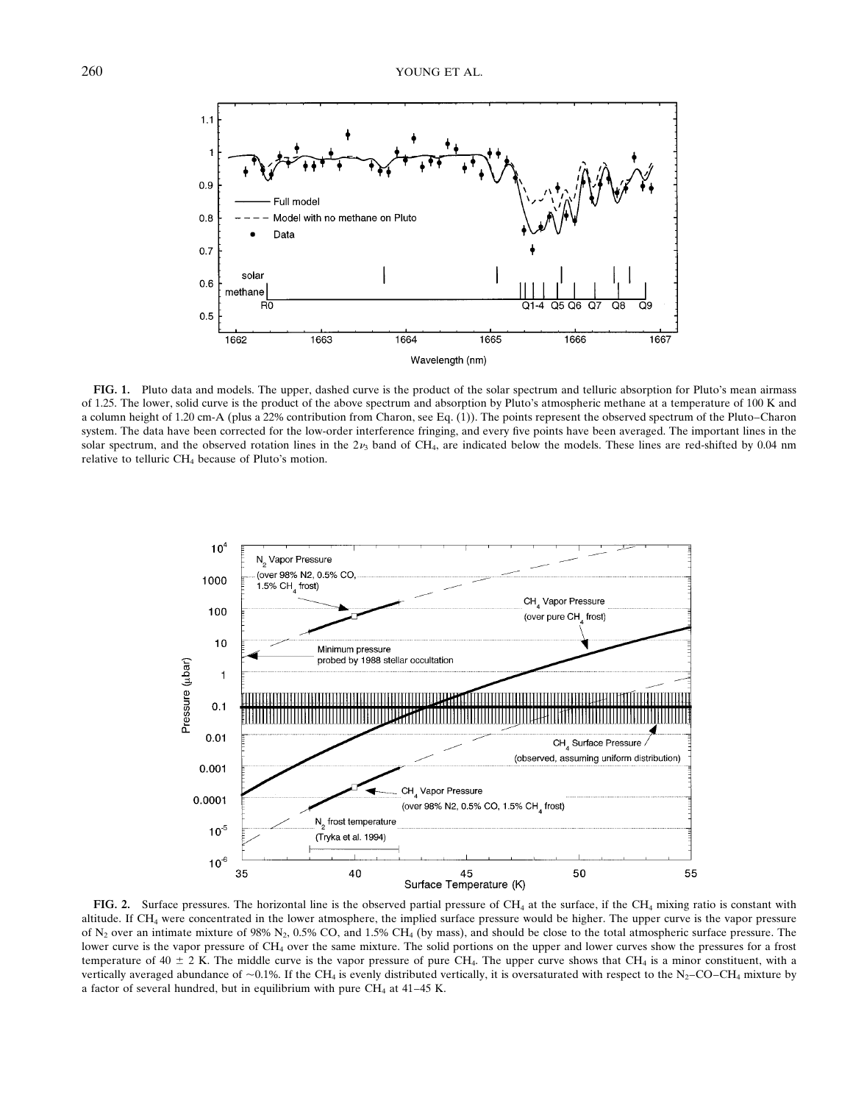

**FIG. 1.** Pluto data and models. The upper, dashed curve is the product of the solar spectrum and telluric absorption for Pluto's mean airmass of 1.25. The lower, solid curve is the product of the above spectrum and absorption by Pluto's atmospheric methane at a temperature of 100 K and a column height of 1.20 cm-A (plus a 22% contribution from Charon, see Eq. (1)). The points represent the observed spectrum of the Pluto–Charon system. The data have been corrected for the low-order interference fringing, and every five points have been averaged. The important lines in the solar spectrum, and the observed rotation lines in the  $2\nu_3$  band of CH<sub>4</sub>, are indicated below the models. These lines are red-shifted by 0.04 nm relative to telluric CH<sub>4</sub> because of Pluto's motion.



FIG. 2. Surface pressures. The horizontal line is the observed partial pressure of CH<sub>4</sub> at the surface, if the CH<sub>4</sub> mixing ratio is constant with altitude. If CH4 were concentrated in the lower atmosphere, the implied surface pressure would be higher. The upper curve is the vapor pressure of  $N_2$  over an intimate mixture of 98%  $N_2$ , 0.5% CO, and 1.5% CH<sub>4</sub> (by mass), and should be close to the total atmospheric surface pressure. The lower curve is the vapor pressure of CH<sub>4</sub> over the same mixture. The solid portions on the upper and lower curves show the pressures for a frost temperature of 40  $\pm$  2 K. The middle curve is the vapor pressure of pure CH<sub>4</sub>. The upper curve shows that CH<sub>4</sub> is a minor constituent, with a vertically averaged abundance of  $\sim 0.1\%$ . If the CH<sub>4</sub> is evenly distributed vertically, it is oversaturated with respect to the N<sub>2</sub>–CO–CH<sub>4</sub> mixture by a factor of several hundred, but in equilibrium with pure  $CH_4$  at 41–45 K.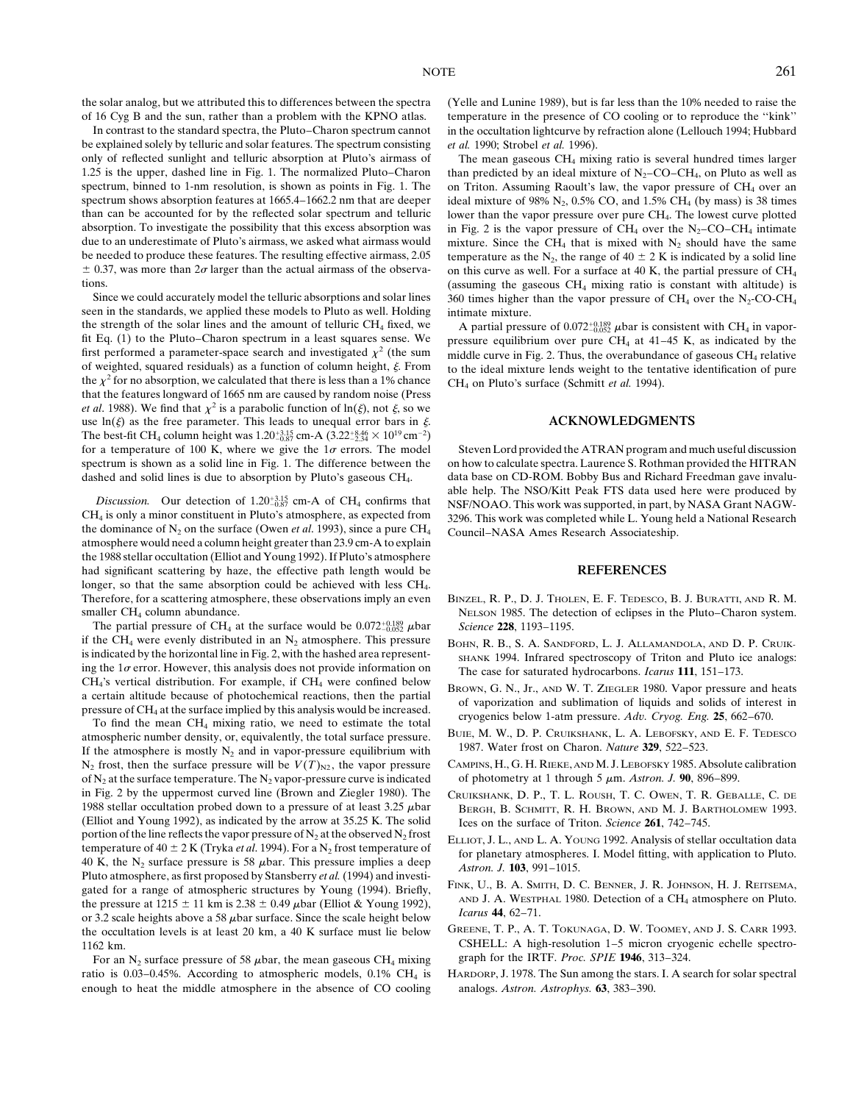the solar analog, but we attributed this to differences between the spectra (Yelle and Lunine 1989), but is far less than the 10% needed to raise the

be explained solely by telluric and solar features. The spectrum consisting *et al.* 1990; Strobel *et al.* 1996). only of reflected sunlight and telluric absorption at Pluto's airmass of The mean gaseous CH4 mixing ratio is several hundred times larger 1.25 is the upper, dashed line in Fig. 1. The normalized Pluto–Charon than predicted by an ideal mixture of  $N_2$ –CO–CH<sub>4</sub>, on Pluto as well as spectrum, binned to 1-nm resolution, is shown as points in Fig. 1. The on Triton. Assuming Raoult's law, the vapor pressure of CH<sub>4</sub> over an spectrum shows absorption features at 1665.4–1662.2 nm that are deeper ideal mix spectrum shows absorption features at 1665.4–1662.2 nm that are deeper ideal mixture of 98%  $N_2$ , 0.5% CO, and 1.5% CH<sub>4</sub> (by mass) is 38 times than can be accounted for by the reflected solar spectrum and telluric lower than can be accounted for by the reflected solar spectrum and telluric lower than the vapor pressure over pure CH<sub>4</sub>. The lowest curve plotted absorption. To investigate the possibility that this excess absorption was in absorption. To investigate the possibility that this excess absorption was in Fig. 2 is the vapor pressure of CH<sub>4</sub> over the N<sub>2</sub>–CO–CH<sub>4</sub> intimate due to an underestimate of Pluto's airmass, we asked what airmass would m due to an underestimate of Pluto's airmass, we asked what airmass would mixture. Since the CH<sub>4</sub> that is mixed with N<sub>2</sub> should have the same<br>be needed to produce these features. The resulting effective airmass, 2.05 temp  $\pm$  0.37, was more than 2*o* larger than the actual airmass of the observa- on this curve as well. For a surface at 40 K, the partial pressure of CH<sub>4</sub>

seen in the standards, we applied these models to Pluto as well. Holding intimate mixture. the strength of the solar lines and the amount of telluric CH<sub>4</sub> fixed, we fit Eq. (1) to the Pluto–Charon spectrum in a least squares sense. We first performed a parameter-space search and investigated  $\chi^2$  (the sum middle curve in Fig. 2. Thus, the overabundance of gaseous CH<sub>4</sub> relative of weighted, squared residuals) as a function of column height,  $\xi$ . Fro the  $\chi^2$  for no absorption, we calculated that there is less than a 1% chance CH<sub>4</sub> on Pluto's surface (Schmitt *et al.* 1994). that the features longward of 1665 nm are caused by random noise (Press *et al.* 1988). We find that  $\chi^2$  is a parabolic function of  $\ln(\xi)$ , not  $\xi$ , so we use  $\ln(\xi)$  as the free parameter. This leads to unequal error bars in  $\xi$ . **ACKNOWLEDGMENTS** The best-fit CH<sub>4</sub> column height was  $1.20_{-0.87}^{+3.15}$  cm-A  $(3.22_{-2.34}^{+8.46} \times 10^{19}$  cm<sup>-2</sup>) for a temperature of 100 K, where we give the  $1\sigma$  errors. The model Steven Lord provided the ATRAN program and much useful discussion spectrum is shown as a solid line in Fig. 1. The difference between the on how to calculate spectra. Laurence S. Rothman provided the HITRAN dashed and solid lines is due to absorption by Pluto's gaseous CH<sub>4</sub>. data base on CD-ROM. Bobby Bus and Richard Freedman gave invalu-

*Discussion.* Our detection of  $1.20_{-0.87}^{+3.15}$  cm-A of CH<sub>4</sub> confirms that Discussion. Our detection of 1.20- $\frac{25}{325}$  cm-A of CH<sub>4</sub> confirms that<br>CH<sub>4</sub> is only a minor constituent in Pluto's atmosphere, as expected from<br>the dominance of N<sub>2</sub> on the surface (Owen *et al.* 1993), since a pure the 1988 stellar occultation (Elliot and Young 1992). If Pluto's atmosphere had significant scattering by haze, the effective path length would be **REFERENCES** longer, so that the same absorption could be achieved with less CH4. Therefore, for a scattering atmosphere, these observations imply an even BINZEL, R. P., D. J. THOLEN, E. F. TEDESCO, B. J. BURATTI, AND R. M.

The partial pressure of CH<sub>4</sub> at the surface would be  $0.072^{+0.189}_{-0.052}$   $\mu$ bar if the CH<sub>4</sub> were evenly distributed in an N<sub>2</sub> atmosphere. This pressure BOHN, R. B., S. A. SANDFORD, L. J. ALLAMANDOLA, AND D. P. CRUIK-<br>is indicated by the horizontal line in Fig. 2, with the hashed area represent-<br>sua is indicated by the horizontal line in Fig. 2, with the hashed area represent-<br>ing the 1 $\sigma$  error. However, this analysis does not provide information on<br>CH<sub>4</sub>'s vertical distribution. For example, if CH<sub>4</sub> were confined

N<sub>2</sub> frost, then the surface pressure will be  $V(T)_{N2}$ , the vapor pressure CAMPINS, H., G. H. RIEKE, AND M. J. LEBOFSKY 1985. Absolute calibration of N<sub>2</sub> at the surface temperature. The N<sub>2</sub> vapor-pressure curve is indi of  $N_2$  at the surface temperature. The  $N_2$  vapor-pressure curve is indicated in Fig. 2 by the uppermost curved line (Brown and Ziegler 1980). The CRUIKSHANK, D. P., T. L. ROUSH, T. C. OWEN, T. R. GEBALLE, C. DE (Elliot and Young 1992), as indicated by the arrow at 35.25 K. The solid Ices on the surface of Triton. *Science* 261, 742–745. portion of the line reflects the vapor pressure of N<sub>2</sub> at the observed N<sub>2</sub> frost Expert L<sub>1</sub> portion of the line reflects the vapor pressure of N<sub>2</sub> at the observed N<sub>2</sub> frost<br>temperature of 40 ± 2 K (Tryka *et al.* 1994). For a N<sub>2</sub> frost temperature of<br>40 K, the N<sub>2</sub> surface pressure is 58 *µbar*. This pressure the occultation levels is at least 20 km, a 40 K surface must lie below GREENE, T. P., A. T. TOKUNAGA, D. W. TOOMEY, AND J. S. CARR 1993.

For an N<sub>2</sub> surface pressure of 58  $\mu$ bar, the mean gaseous CH<sub>4</sub> mixing ratio is 0.03–0.45%. According to atmospheric models, 0.1% CH<sub>4</sub> is enough to heat the middle atmosphere in the absence of CO cooling analogs. *Astron. Astrophys.* **63**, 383–390.

of 16 Cyg B and the sun, rather than a problem with the KPNO atlas. temperature in the presence of CO cooling or to reproduce the ''kink'' In contrast to the standard spectra, the Pluto–Charon spectrum cannot in the occultation lightcurve by refraction alone (Lellouch 1994; Hubbard

temperature as the N<sub>2</sub>, the range of 40  $\pm$  2 K is indicated by a solid line tions. (assuming the gaseous CH<sub>4</sub> mixing ratio is constant with altitude) is<br>Since we could accurately model the telluric absorptions and solar lines 360 times higher than the vapor pressure of CH, over the N<sub>2</sub>CO-CH. 360 times higher than the vapor pressure of  $CH_4$  over the N<sub>2</sub>-CO-CH<sub>4</sub>

> A partial pressure of  $0.072_{-0.052}^{+0.189}$   $\mu$ bar is consistent with CH<sub>4</sub> in vaporpressure equilibrium over pure CH<sub>4</sub> at  $41-45$  K, as indicated by the to the ideal mixture lends weight to the tentative identification of pure

able help. The NSO/Kitt Peak FTS data used here were produced by

- smaller CH<sub>4</sub> column abundance. NELSON 1985. The detection of eclipses in the Pluto–Charon system. <sup>2</sup>0.052 ebar *Science* **228**, 1193–1195.
	-
- CH<sub>4</sub>'s vertical distribution. For example, if CH<sub>4</sub> were confined below<br>a certain altitude because of photochemical reactions, then the partial<br>pressure of CH<sub>4</sub> at the surface implied by this analysis would be increased
	-
	-
- 1988 stellar occultation probed down to a pressure of at least 3.25  $\mu$ bar BERGH, B. SCHMITT, R. H. BROWN, AND M. J. BARTHOLOMEW 1993.
	-
	-
- 1162 km.<br>
For an N<sub>2</sub> surface pressure of 58 *ubar* the mean gaseous CH, mixing eraph for the IRTF. *Proc. SPIE* 1946, 313–324.
	- HARDORP, J. 1978. The Sun among the stars. I. A search for solar spectral